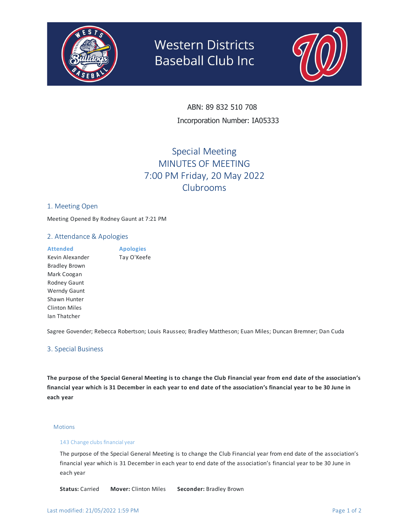

# **Western Districts Baseball Club Inc**



ABN: 89 832 510 708 Incorporation Number: IA05333

# Special Meeting MINUTES OF MEETING 7:00 PM Friday, 20 May 2022 Clubrooms

#### 1. Meeting Open

Meeting Opened By Rodney Gaunt at 7:21 PM

#### 2. Attendance & Apologies

| <b>Attended</b>      | <b>Apologies</b> |
|----------------------|------------------|
| Kevin Alexander      | Tay O'Keefe      |
| <b>Bradley Brown</b> |                  |
| Mark Coogan          |                  |
| Rodney Gaunt         |                  |
| <b>Werndy Gaunt</b>  |                  |
| Shawn Hunter         |                  |
| <b>Clinton Miles</b> |                  |
| Ian Thatcher         |                  |

Sagree Govender; Rebecca Robertson; Louis Rausseo; Bradley Mattheson; Euan Miles; Duncan Bremner; Dan Cuda

### 3. Special Business

The purpose of the Special General Meeting is to change the Club Financial year from end date of the association's financial year which is 31 December in each year to end date of the association's financial year to be 30 June in **each year**

#### **Motions**

#### 143 Change clubs financial year

The purpose of the Special General Meeting is to change the Club Financial year from end date of the association's financial year which is 31 December in each year to end date of the association's financial year to be 30 June in each year

**Status:** Carried **Mover:** Clinton Miles **Seconder:** Bradley Brown